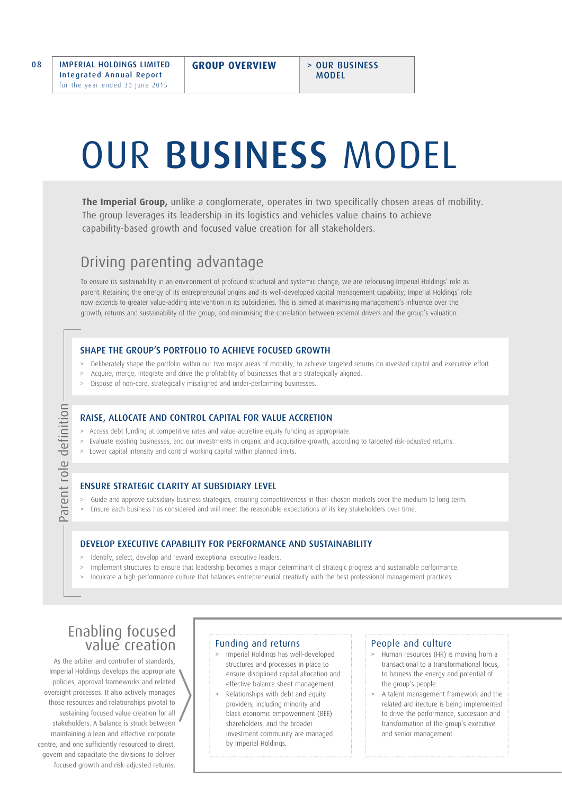# OUR BUSINESS MODEL

**The Imperial Group,** unlike a conglomerate, operates in two specifically chosen areas of mobility. The group leverages its leadership in its logistics and vehicles value chains to achieve capability-based growth and focused value creation for all stakeholders.

### Driving parenting advantage

To ensure its sustainability in an environment of profound structural and systemic change, we are refocusing Imperial Holdings' role as parent. Retaining the energy of its entrepreneurial origins and its well-developed capital management capability, Imperial Holdings' role now extends to greater value-adding intervention in its subsidiaries. This is aimed at maximising management's influence over the growth, returns and sustainability of the group, and minimising the correlation between external drivers and the group's valuation.

#### SHAPE THE GROUP'S PORTFOLIO TO ACHIEVE FOCUSED GROWTH

- > Deliberately shape the portfolio within our two major areas of mobility, to achieve targeted returns on invested capital and executive effort.
- > Acquire, merge, integrate and drive the profitability of businesses that are strategically aligned.
- > Dispose of non-core, strategically misaligned and under-performing businesses.

#### RAISE, ALLOCATE AND CONTROL CAPITAL FOR VALUE ACCRETION

- > Access debt funding at competitive rates and value-accretive equity funding as appropriate.
- > Evaluate existing businesses, and our investments in organic and acquisitive growth, according to targeted risk-adjusted returns.
- > Lower capital intensity and control working capital within planned limits.

#### ENSURE STRATEGIC CLARITY AT SUBSIDIARY LEVEL

- > Guide and approve subsidiary business strategies, ensuring competitiveness in their chosen markets over the medium to long term.
- > Ensure each business has considered and will meet the reasonable expectations of its key stakeholders over time.

#### DEVELOP EXECUTIVE CAPABILITY FOR PERFORMANCE AND SUSTAINABILITY

- > Identify, select, develop and reward exceptional executive leaders.
- > Implement structures to ensure that leadership becomes a major determinant of strategic progress and sustainable performance.
- > Inculcate a high-performance culture that balances entrepreneurial creativity with the best professional management practices.

# Enabling focused value creation

Parent role definition

Parent role definition

As the arbiter and controller of standards, Imperial Holdings develops the appropriate policies, approval frameworks and related oversight processes. It also actively manages those resources and relationships pivotal to sustaining focused value creation for all stakeholders. A balance is struck between maintaining a lean and effective corporate centre, and one sufficiently resourced to direct, govern and capacitate the divisions to deliver focused growth and risk-adjusted returns.

#### Funding and returns

- > Imperial Holdings has well-developed structures and processes in place to ensure disciplined capital allocation and effective balance sheet management.
- > Relationships with debt and equity providers, including minority and black economic empowerment (BEE) shareholders, and the broader investment community are managed by Imperial Holdings.

#### People and culture

- > Human resources (HR) is moving from a transactional to a transformational focus, to harness the energy and potential of the group's people.
- > A talent management framework and the related architecture is being implemented to drive the performance, succession and transformation of the group's executive and senior management.